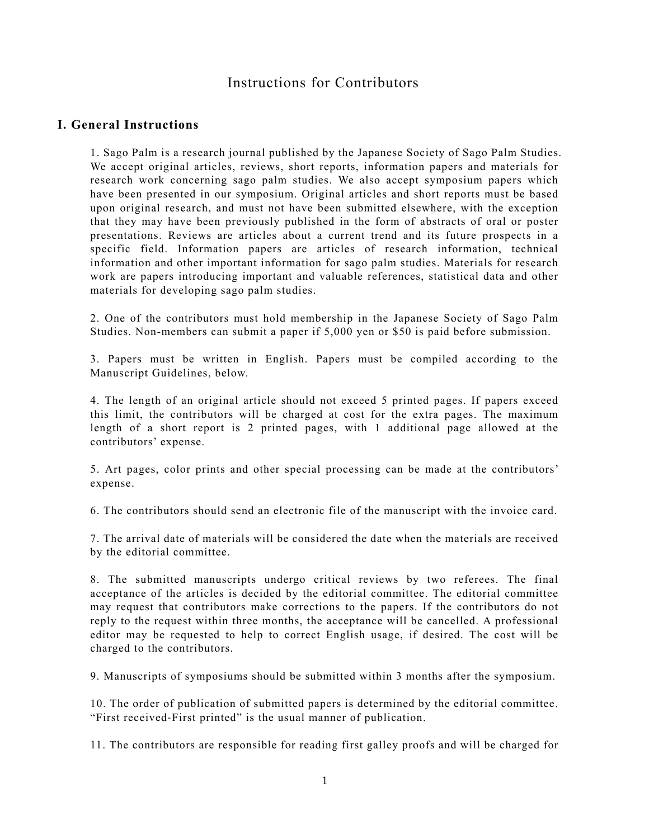# Instructions for Contributors

# **I. General Instructions**

1. Sago Palm is a research journal published by the Japanese Society of Sago Palm Studies. We accept original articles, reviews, short reports, information papers and materials for research work concerning sago palm studies. We also accept symposium papers which have been presented in our symposium. Original articles and short reports must be based upon original research, and must not have been submitted elsewhere, with the exception that they may have been previously published in the form of abstracts of oral or poster presentations. Reviews are articles about a current trend and its future prospects in a specific field. Information papers are articles of research information, technical information and other important information for sago palm studies. Materials for research work are papers introducing important and valuable references, statistical data and other materials for developing sago palm studies.

2. One of the contributors must hold membership in the Japanese Society of Sago Palm Studies. Non-members can submit a paper if 5,000 yen or \$50 is paid before submission.

3. Papers must be written in English. Papers must be compiled according to the Manuscript Guidelines, below.

4. The length of an original article should not exceed 5 printed pages. If papers exceed this limit, the contributors will be charged at cost for the extra pages. The maximum length of a short report is 2 printed pages, with 1 additional page allowed at the contributors' expense.

5. Art pages, color prints and other special processing can be made at the contributors' expense.

6. The contributors should send an electronic file of the manuscript with the invoice card.

7. The arrival date of materials will be considered the date when the materials are received by the editorial committee.

8. The submitted manuscripts undergo critical reviews by two referees. The final acceptance of the articles is decided by the editorial committee. The editorial committee may request that contributors make corrections to the papers. If the contributors do not reply to the request within three months, the acceptance will be cancelled. A professional editor may be requested to help to correct English usage, if desired. The cost will be charged to the contributors.

9. Manuscripts of symposiums should be submitted within 3 months after the symposium.

10. The order of publication of submitted papers is determined by the editorial committee. "First received-First printed" is the usual manner of publication.

11. The contributors are responsible for reading first galley proofs and will be charged for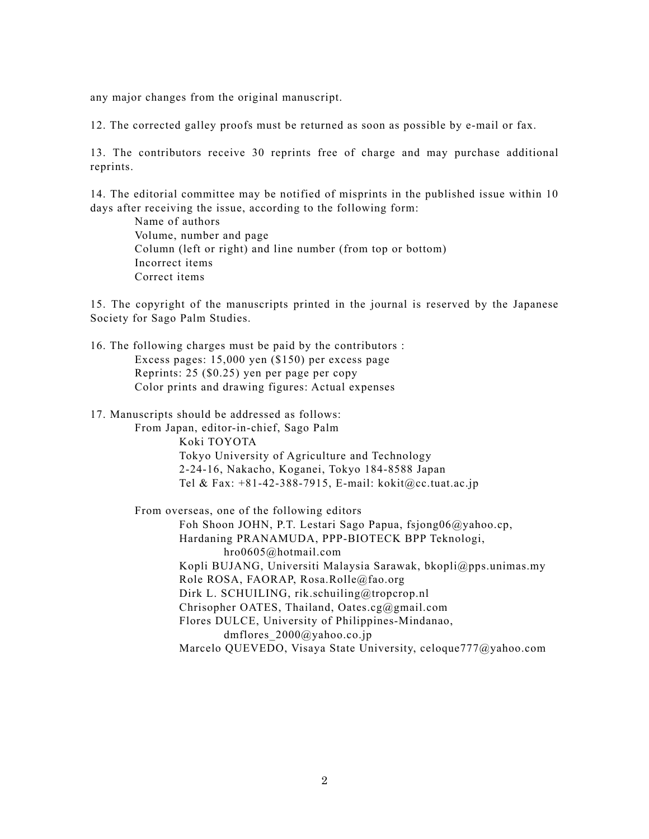any major changes from the original manuscript.

12. The corrected galley proofs must be returned as soon as possible by e-mail or fax.

13. The contributors receive 30 reprints free of charge and may purchase additional reprints.

14. The editorial committee may be notified of misprints in the published issue within 10 days after receiving the issue, according to the following form:

 Name of authors Volume, number and page Column (left or right) and line number (from top or bottom) Incorrect items Correct items

15. The copyright of the manuscripts printed in the journal is reserved by the Japanese Society for Sago Palm Studies.

16. The following charges must be paid by the contributors : Excess pages: 15,000 yen (\$150) per excess page Reprints: 25 (\$0.25) yen per page per copy Color prints and drawing figures: Actual expenses

17. Manuscripts should be addressed as follows:

From Japan, editor-in-chief, Sago Palm Koki TOYOTA Tokyo University of Agriculture and Technology 2-24-16, Nakacho, Koganei, Tokyo 184-8588 Japan Tel & Fax: +81-42-388-7915, E-mail: kokit@cc.tuat.ac.jp

From overseas, one of the following editors Foh Shoon JOHN, P.T. Lestari Sago Papua, fsjong06@yahoo.cp, Hardaning PRANAMUDA, PPP-BIOTECK BPP Teknologi, hro0605@hotmail.com Kopli BUJANG, Universiti Malaysia Sarawak, bkopli@pps.unimas.my Role ROSA, FAORAP, Rosa.Rolle@fao.org Dirk L. SCHUILING, rik.schuiling@tropcrop.nl Chrisopher OATES, Thailand, Oates.cg@gmail.com Flores DULCE, University of Philippines-Mindanao, dmflores\_2000@yahoo.co.jp Marcelo QUEVEDO, Visaya State University, celoque777@yahoo.com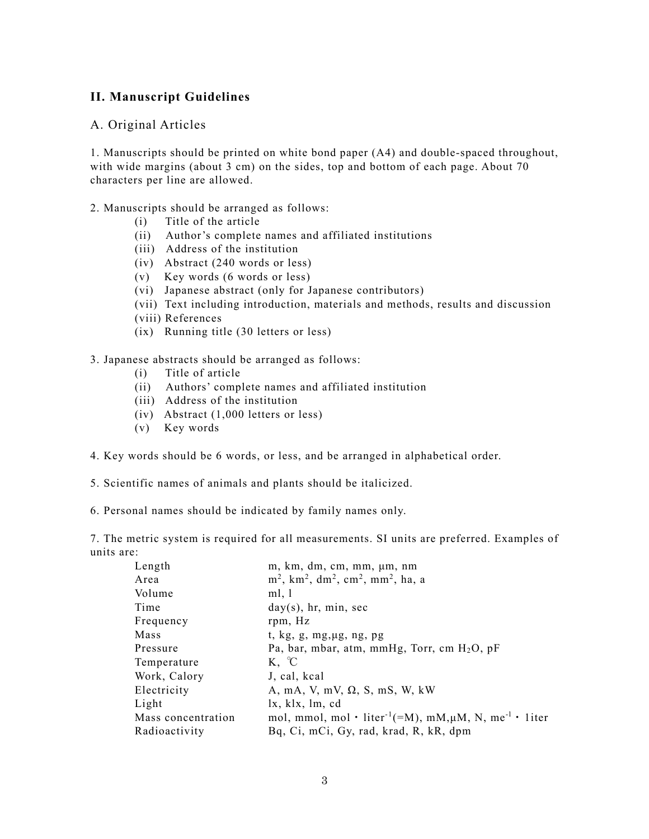# **II. Manuscript Guidelines**

## A. Original Articles

1. Manuscripts should be printed on white bond paper (A4) and double-spaced throughout, with wide margins (about 3 cm) on the sides, top and bottom of each page. About 70 characters per line are allowed.

#### 2. Manuscripts should be arranged as follows:

- (i) Title of the article
- (ii) Author's complete names and affiliated institutions
- (iii) Address of the institution
- (iv)   Abstract (240 words or less)
- (v) Key words (6 words or less)
- (vi)   Japanese abstract (only for Japanese contributors)
- (vii)  Text including introduction, materials and methods, results and discussion
- (viii) References
- (ix) Running title (30 letters or less)

3. Japanese abstracts should be arranged as follows:

- (i) Title of article
- (ii) Authors' complete names and affiliated institution
- (iii)   Address of the institution
- (iv)   Abstract (1,000 letters or less)
- $(v)$  Key words
- 4. Key words should be 6 words, or less, and be arranged in alphabetical order.
- 5. Scientific names of animals and plants should be italicized.

6. Personal names should be indicated by family names only.

7. The metric system is required for all measurements. SI units are preferred. Examples of units are:

| Length             | m, km, dm, cm, mm, µm, nm                                                             |
|--------------------|---------------------------------------------------------------------------------------|
| Area               | $m^2$ , km <sup>2</sup> , dm <sup>2</sup> , cm <sup>2</sup> , mm <sup>2</sup> , ha, a |
| Volume             | ml, 1                                                                                 |
| Time               | $day(s)$ , hr, min, sec                                                               |
| Frequency          | rpm, Hz                                                                               |
| Mass               | t, $kg$ , $g$ , $mg$ , $\mu$ g, $ng$ , $pg$                                           |
| Pressure           | Pa, bar, mbar, atm, mmHg, Torr, cm H <sub>2</sub> O, pF                               |
| Temperature        | $K, \ ^{\circ}C$                                                                      |
| Work, Calory       | J, cal, kcal                                                                          |
| Electricity        | A, mA, V, mV, $\Omega$ , S, mS, W, kW                                                 |
| Light              | $l$ x, klx, $lm$ , cd                                                                 |
| Mass concentration | mol, mmol, mol · liter <sup>-1</sup> (=M), mM, $\mu$ M, N, me <sup>-1</sup> · 1iter   |
| Radioactivity      | Bq, Ci, mCi, Gy, rad, krad, R, kR, dpm                                                |